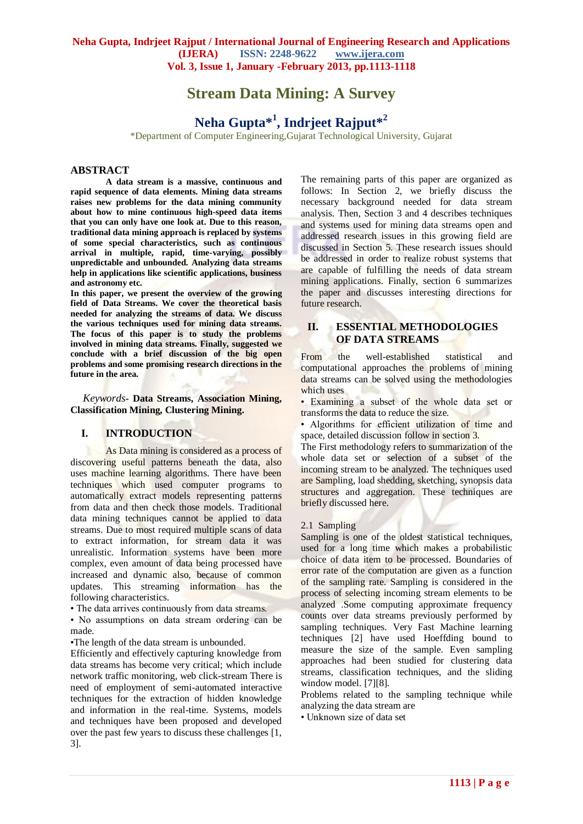# **Stream Data Mining: A Survey**

# **Neha Gupta\*<sup>1</sup> , Indrjeet Rajput\*<sup>2</sup>**

\*Department of Computer Engineering,Gujarat Technological University, Gujarat

## **ABSTRACT**

**A data stream is a massive, continuous and rapid sequence of data elements. Mining data streams raises new problems for the data mining community about how to mine continuous high-speed data items that you can only have one look at. Due to this reason, traditional data mining approach is replaced by systems of some special characteristics, such as continuous arrival in multiple, rapid, time-varying, possibly unpredictable and unbounded. Analyzing data streams help in applications like scientific applications, business and astronomy etc.**

**In this paper, we present the overview of the growing field of Data Streams. We cover the theoretical basis needed for analyzing the streams of data. We discuss the various techniques used for mining data streams. The focus of this paper is to study the problems involved in mining data streams. Finally, suggested we conclude with a brief discussion of the big open problems and some promising research directions in the future in the area.**

 *Keywords***- Data Streams, Association Mining, Classification Mining, Clustering Mining.**

## **I. INTRODUCTION**

As Data mining is considered as a process of discovering useful patterns beneath the data, also uses machine learning algorithms. There have been techniques which used computer programs to automatically extract models representing patterns from data and then check those models. Traditional data mining techniques cannot be applied to data streams. Due to most required multiple scans of data to extract information, for stream data it was unrealistic. Information systems have been more complex, even amount of data being processed have increased and dynamic also, because of common updates. This streaming information has the following characteristics.

• The data arrives continuously from data streams.

• No assumptions on data stream ordering can be made.

•The length of the data stream is unbounded.

Efficiently and effectively capturing knowledge from data streams has become very critical; which include network traffic monitoring, web click-stream There is need of employment of semi-automated interactive techniques for the extraction of hidden knowledge and information in the real-time. Systems, models and techniques have been proposed and developed over the past few years to discuss these challenges [1, 3].

The remaining parts of this paper are organized as follows: In Section 2, we briefly discuss the necessary background needed for data stream analysis. Then, Section 3 and 4 describes techniques and systems used for mining data streams open and addressed research issues in this growing field are discussed in Section 5. These research issues should be addressed in order to realize robust systems that are capable of fulfilling the needs of data stream mining applications. Finally, section 6 summarizes the paper and discusses interesting directions for future research.

## **II. ESSENTIAL METHODOLOGIES OF DATA STREAMS**

From the well-established statistical and computational approaches the problems of mining data streams can be solved using the methodologies which uses

• Examining a subset of the whole data set or transforms the data to reduce the size.

• Algorithms for efficient utilization of time and space, detailed discussion follow in section 3.

The First methodology refers to summarization of the whole data set or selection of a subset of the incoming stream to be analyzed. The techniques used are Sampling, load shedding, sketching, synopsis data structures and aggregation. These techniques are briefly discussed here.

#### 2.1 Sampling

Sampling is one of the oldest statistical techniques, used for a long time which makes a probabilistic choice of data item to be processed. Boundaries of error rate of the computation are given as a function of the sampling rate. Sampling is considered in the process of selecting incoming stream elements to be analyzed .Some computing approximate frequency counts over data streams previously performed by sampling techniques. Very Fast Machine learning techniques [2] have used Hoeffding bound to measure the size of the sample. Even sampling approaches had been studied for clustering data streams, classification techniques, and the sliding window model. [7][8].

Problems related to the sampling technique while analyzing the data stream are

• Unknown size of data set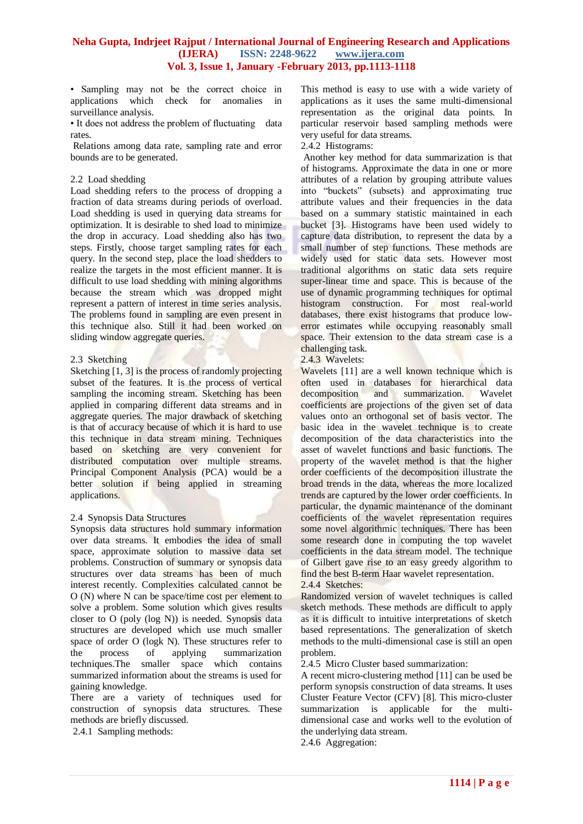• Sampling may not be the correct choice in applications which check for anomalies in surveillance analysis.

• It does not address the problem of fluctuating data rates.

Relations among data rate, sampling rate and error bounds are to be generated.

#### 2.2 Load shedding

Load shedding refers to the process of dropping a fraction of data streams during periods of overload. Load shedding is used in querying data streams for optimization. It is desirable to shed load to minimize the drop in accuracy. Load shedding also has two steps. Firstly, choose target sampling rates for each query. In the second step, place the load shedders to realize the targets in the most efficient manner. It is difficult to use load shedding with mining algorithms because the stream which was dropped might represent a pattern of interest in time series analysis. The problems found in sampling are even present in this technique also. Still it had been worked on sliding window aggregate queries.

#### 2.3 Sketching

Sketching [1, 3] is the process of randomly projecting subset of the features. It is the process of vertical sampling the incoming stream. Sketching has been applied in comparing different data streams and in aggregate queries. The major drawback of sketching is that of accuracy because of which it is hard to use this technique in data stream mining. Techniques based on sketching are very convenient for distributed computation over multiple streams. Principal Component Analysis (PCA) would be a better solution if being applied in streaming applications.

## 2.4 Synopsis Data Structures

Synopsis data structures hold summary information over data streams. It embodies the idea of small space, approximate solution to massive data set problems. Construction of summary or synopsis data structures over data streams has been of much interest recently. Complexities calculated cannot be O (N) where N can be space/time cost per element to solve a problem. Some solution which gives results closer to O (poly (log N)) is needed. Synopsis data structures are developed which use much smaller space of order O (logk N). These structures refer to the process of applying summarization techniques.The smaller space which contains summarized information about the streams is used for gaining knowledge.

There are a variety of techniques used for construction of synopsis data structures. These methods are briefly discussed.

2.4.1 Sampling methods:

This method is easy to use with a wide variety of applications as it uses the same multi-dimensional representation as the original data points. In particular reservoir based sampling methods were very useful for data streams.

2.4.2 Histograms:

Another key method for data summarization is that of histograms. Approximate the data in one or more attributes of a relation by grouping attribute values into "buckets" (subsets) and approximating true attribute values and their frequencies in the data based on a summary statistic maintained in each bucket [3]. Histograms have been used widely to capture data distribution, to represent the data by a small number of step functions. These methods are widely used for static data sets. However most traditional algorithms on static data sets require super-linear time and space. This is because of the use of dynamic programming techniques for optimal histogram construction. For most real-world databases, there exist histograms that produce lowerror estimates while occupying reasonably small space. Their extension to the data stream case is a challenging task.

#### 2.4.3 Wavelets:

Wavelets [11] are a well known technique which is often used in databases for hierarchical data decomposition and summarization. Wavelet coefficients are projections of the given set of data values onto an orthogonal set of basis vector. The basic idea in the wavelet technique is to create decomposition of the data characteristics into the asset of wavelet functions and basic functions. The property of the wavelet method is that the higher order coefficients of the decomposition illustrate the broad trends in the data, whereas the more localized trends are captured by the lower order coefficients. In particular, the dynamic maintenance of the dominant coefficients of the wavelet representation requires some novel algorithmic techniques. There has been some research done in computing the top wavelet coefficients in the data stream model. The technique of Gilbert gave rise to an easy greedy algorithm to find the best B-term Haar wavelet representation.

## 2.4.4 Sketches:

Randomized version of wavelet techniques is called sketch methods. These methods are difficult to apply as it is difficult to intuitive interpretations of sketch based representations. The generalization of sketch methods to the multi-dimensional case is still an open problem.

2.4.5 Micro Cluster based summarization:

A recent micro-clustering method [11] can be used be perform synopsis construction of data streams. It uses Cluster Feature Vector (CFV) [8]. This micro-cluster summarization is applicable for the multidimensional case and works well to the evolution of the underlying data stream.

2.4.6 Aggregation: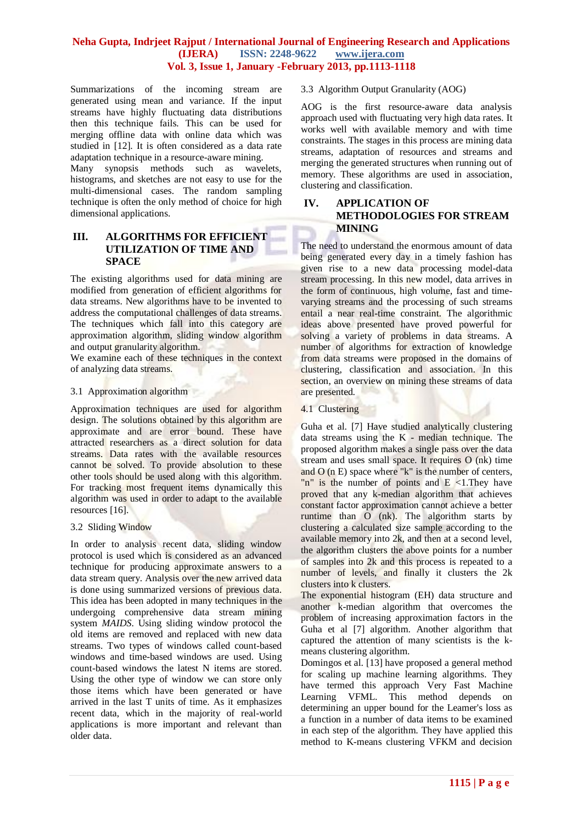Summarizations of the incoming stream are generated using mean and variance. If the input streams have highly fluctuating data distributions then this technique fails. This can be used for merging offline data with online data which was studied in [12]. It is often considered as a data rate adaptation technique in a resource-aware mining.

Many synopsis methods such as wavelets, histograms, and sketches are not easy to use for the multi-dimensional cases. The random sampling technique is often the only method of choice for high dimensional applications.

## **III. ALGORITHMS FOR EFFICIENT UTILIZATION OF TIME AND SPACE**

The existing algorithms used for data mining are modified from generation of efficient algorithms for data streams. New algorithms have to be invented to address the computational challenges of data streams. The techniques which fall into this category are approximation algorithm, sliding window algorithm and output granularity algorithm.

We examine each of these techniques in the context of analyzing data streams.

## 3.1 Approximation algorithm

Approximation techniques are used for algorithm design. The solutions obtained by this algorithm are approximate and are error bound. These have attracted researchers as a direct solution for data streams. Data rates with the available resources cannot be solved. To provide absolution to these other tools should be used along with this algorithm. For tracking most frequent items dynamically this algorithm was used in order to adapt to the available resources [16].

## 3.2 Sliding Window

In order to analysis recent data, sliding window protocol is used which is considered as an advanced technique for producing approximate answers to a data stream query. Analysis over the new arrived data is done using summarized versions of previous data. This idea has been adopted in many techniques in the undergoing comprehensive data stream mining system *MAIDS*. Using sliding window protocol the old items are removed and replaced with new data streams. Two types of windows called count-based windows and time-based windows are used. Using count-based windows the latest N items are stored. Using the other type of window we can store only those items which have been generated or have arrived in the last T units of time. As it emphasizes recent data, which in the majority of real-world applications is more important and relevant than older data.

#### 3.3 Algorithm Output Granularity (AOG)

AOG is the first resource-aware data analysis approach used with fluctuating very high data rates. It works well with available memory and with time constraints. The stages in this process are mining data streams, adaptation of resources and streams and merging the generated structures when running out of memory. These algorithms are used in association, clustering and classification.

# **IV. APPLICATION OF METHODOLOGIES FOR STREAM MINING**

The need to understand the enormous amount of data being generated every day in a timely fashion has given rise to a new data processing model-data stream processing. In this new model, data arrives in the form of continuous, high volume, fast and timevarying streams and the processing of such streams entail a near real-time constraint. The algorithmic ideas above presented have proved powerful for solving a variety of problems in data streams. A number of algorithms for extraction of knowledge from data streams were proposed in the domains of clustering, classification and association. In this section, an overview on mining these streams of data are presented.

#### 4.1 Clustering

Guha et al. [7] Have studied analytically clustering data streams using the K - median technique. The proposed algorithm makes a single pass over the data stream and uses small space. It requires O (nk) time and O (n E) space where "k" is the number of centers, "n" is the number of points and  $E \le 1$ . They have proved that any k-median algorithm that achieves constant factor approximation cannot achieve a better runtime than O (nk). The algorithm starts by clustering a calculated size sample according to the available memory into 2k, and then at a second level, the algorithm clusters the above points for a number of samples into 2k and this process is repeated to a number of levels, and finally it clusters the 2k clusters into k clusters.

The exponential histogram (EH) data structure and another k-median algorithm that overcomes the problem of increasing approximation factors in the Guha et al [7] algorithm. Another algorithm that captured the attention of many scientists is the kmeans clustering algorithm.

Domingos et al. [13] have proposed a general method for scaling up machine learning algorithms. They have termed this approach Very Fast Machine Learning VFML. This method depends on determining an upper bound for the Leamer's loss as a function in a number of data items to be examined in each step of the algorithm. They have applied this method to K-means clustering VFKM and decision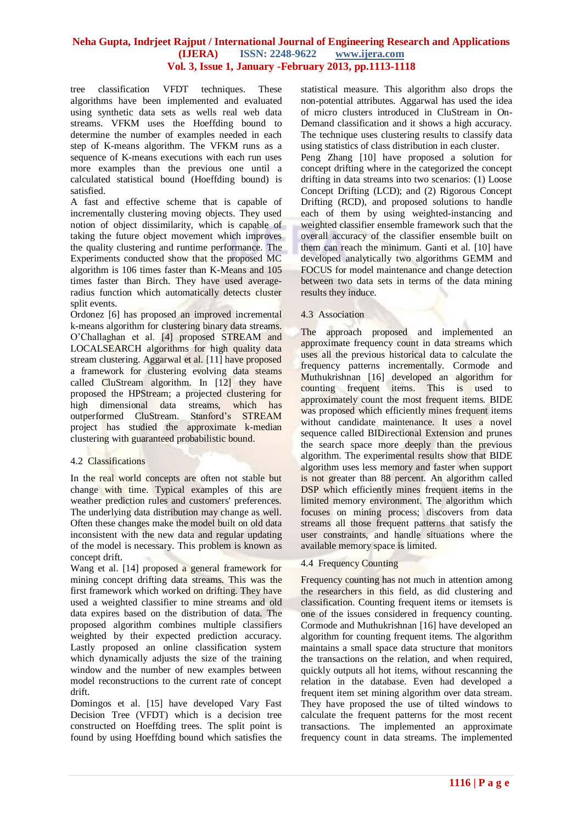tree classification VFDT techniques. These algorithms have been implemented and evaluated using synthetic data sets as wells real web data streams. VFKM uses the Hoeffding bound to determine the number of examples needed in each step of K-means algorithm. The VFKM runs as a sequence of K-means executions with each run uses more examples than the previous one until a calculated statistical bound (Hoeffding bound) is satisfied.

A fast and effective scheme that is capable of incrementally clustering moving objects. They used notion of object dissimilarity, which is capable of taking the future object movement which improves the quality clustering and runtime performance. The Experiments conducted show that the proposed MC algorithm is 106 times faster than K-Means and 105 times faster than Birch. They have used averageradius function which automatically detects cluster split events.

Ordonez [6] has proposed an improved incremental k-means algorithm for clustering binary data streams. O'Challaghan et al. [4] proposed STREAM and LOCALSEARCH algorithms for high quality data stream clustering. Aggarwal et al. [11] have proposed a framework for clustering evolving data steams called CluStream algorithm. In [12] they have proposed the HPStream; a projected clustering for high dimensional data streams, which has outperformed CluStream. Stanford's STREAM project has studied the approximate k-median clustering with guaranteed probabilistic bound.

## 4.2 Classifications

In the real world concepts are often not stable but change with time. Typical examples of this are weather prediction rules and customers' preferences. The underlying data distribution may change as well. Often these changes make the model built on old data inconsistent with the new data and regular updating of the model is necessary. This problem is known as concept drift.

Wang et al. [14] proposed a general framework for mining concept drifting data streams. This was the first framework which worked on drifting. They have used a weighted classifier to mine streams and old data expires based on the distribution of data. The proposed algorithm combines multiple classifiers weighted by their expected prediction accuracy. Lastly proposed an online classification system which dynamically adjusts the size of the training window and the number of new examples between model reconstructions to the current rate of concept drift.

Domingos et al. [15] have developed Vary Fast Decision Tree (VFDT) which is a decision tree constructed on Hoeffding trees. The split point is found by using Hoeffding bound which satisfies the statistical measure. This algorithm also drops the non-potential attributes. Aggarwal has used the idea of micro clusters introduced in CluStream in On-Demand classification and it shows a high accuracy. The technique uses clustering results to classify data using statistics of class distribution in each cluster.

Peng Zhang [10] have proposed a solution for concept drifting where in the categorized the concept drifting in data streams into two scenarios: (1) Loose Concept Drifting (LCD); and (2) Rigorous Concept Drifting (RCD), and proposed solutions to handle each of them by using weighted-instancing and weighted classifier ensemble framework such that the overall accuracy of the classifier ensemble built on them can reach the minimum. Ganti et al. [10] have developed analytically two algorithms GEMM and FOCUS for model maintenance and change detection between two data sets in terms of the data mining results they induce.

## 4.3 Association

The approach proposed and implemented an approximate frequency count in data streams which uses all the previous historical data to calculate the frequency patterns incrementally. Cormode and Muthukrishnan [16] developed an algorithm for counting frequent items. This is used to approximately count the most frequent items. BIDE was proposed which efficiently mines frequent items without candidate maintenance. It uses a novel sequence called BIDirectional Extension and prunes the search space more deeply than the previous algorithm. The experimental results show that BIDE algorithm uses less memory and faster when support is not greater than 88 percent. An algorithm called DSP which efficiently mines frequent items in the limited memory environment. The algorithm which focuses on mining process; discovers from data streams all those frequent patterns that satisfy the user constraints, and handle situations where the available memory space is limited.

## 4.4 Frequency Counting

Frequency counting has not much in attention among the researchers in this field, as did clustering and classification. Counting frequent items or itemsets is one of the issues considered in frequency counting. Cormode and Muthukrishnan [16] have developed an algorithm for counting frequent items. The algorithm maintains a small space data structure that monitors the transactions on the relation, and when required, quickly outputs all hot items, without rescanning the relation in the database. Even had developed a frequent item set mining algorithm over data stream. They have proposed the use of tilted windows to calculate the frequent patterns for the most recent transactions. The implemented an approximate frequency count in data streams. The implemented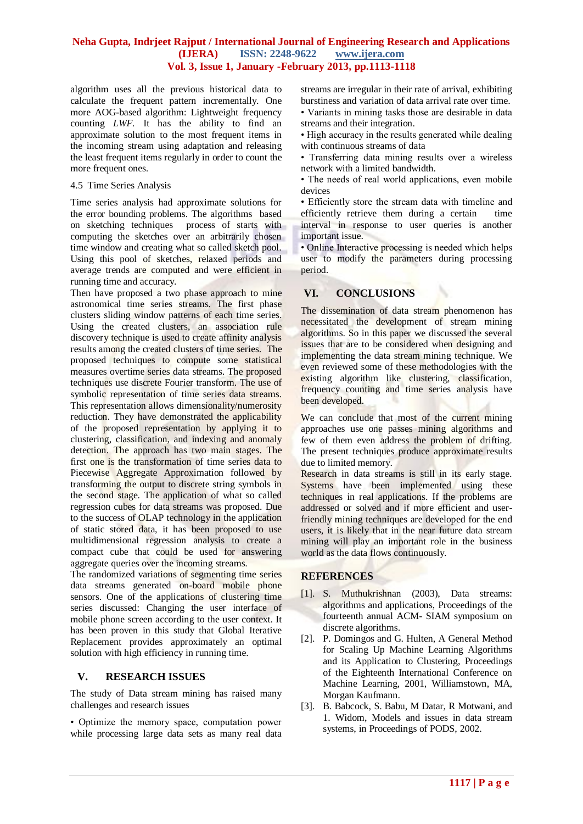algorithm uses all the previous historical data to calculate the frequent pattern incrementally. One more AOG-based algorithm: Lightweight frequency counting *LWF.* It has the ability to find an approximate solution to the most frequent items in the incoming stream using adaptation and releasing the least frequent items regularly in order to count the more frequent ones.

#### 4.5 Time Series Analysis

Time series analysis had approximate solutions for the error bounding problems. The algorithms based on sketching techniques process of starts with computing the sketches over an arbitrarily chosen time window and creating what so called sketch pool. Using this pool of sketches, relaxed periods and average trends are computed and were efficient in running time and accuracy.

Then have proposed a two phase approach to mine astronomical time series streams. The first phase clusters sliding window patterns of each time series. Using the created clusters, an association rule discovery technique is used to create affinity analysis results among the created clusters of time series. The proposed techniques to compute some statistical measures overtime series data streams. The proposed techniques use discrete Fourier transform. The use of symbolic representation of time series data streams. This representation allows dimensionality/numerosity reduction. They have demonstrated the applicability of the proposed representation by applying it to clustering, classification, and indexing and anomaly detection. The approach has two main stages. The first one is the transformation of time series data to Piecewise Aggregate Approximation followed by transforming the output to discrete string symbols in the second stage. The application of what so called regression cubes for data streams was proposed. Due to the success of OLAP technology in the application of static stored data, it has been proposed to use multidimensional regression analysis to create a compact cube that could be used for answering aggregate queries over the incoming streams.

The randomized variations of segmenting time series data streams generated on-board mobile phone sensors. One of the applications of clustering time series discussed: Changing the user interface of mobile phone screen according to the user context. It has been proven in this study that Global Iterative Replacement provides approximately an optimal solution with high efficiency in running time.

## **V. RESEARCH ISSUES**

The study of Data stream mining has raised many challenges and research issues

• Optimize the memory space, computation power while processing large data sets as many real data

streams are irregular in their rate of arrival, exhibiting burstiness and variation of data arrival rate over time. • Variants in mining tasks those are desirable in data streams and their integration.

• High accuracy in the results generated while dealing with continuous streams of data

• Transferring data mining results over a wireless network with a limited bandwidth.

• The needs of real world applications, even mobile devices

• Efficiently store the stream data with timeline and efficiently retrieve them during a certain time interval in response to user queries is another important issue.

• Online Interactive processing is needed which helps user to modify the parameters during processing period.

# **VI. CONCLUSIONS**

The dissemination of data stream phenomenon has necessitated the development of stream mining algorithms. So in this paper we discussed the several issues that are to be considered when designing and implementing the data stream mining technique. We even reviewed some of these methodologies with the existing algorithm like clustering, classification, frequency counting and time series analysis have been developed.

We can conclude that most of the current mining approaches use one passes mining algorithms and few of them even address the problem of drifting. The present techniques produce approximate results due to limited memory.

Research in data streams is still in its early stage. Systems have been implemented using these techniques in real applications. If the problems are addressed or solved and if more efficient and userfriendly mining techniques are developed for the end users, it is likely that in the near future data stream mining will play an important role in the business world as the data flows continuously.

## **REFERENCES**

- [1]. S. Muthukrishnan (2003), Data streams: algorithms and applications, Proceedings of the fourteenth annual ACM- SIAM symposium on discrete algorithms.
- [2]. P. Domingos and G. Hulten, A General Method for Scaling Up Machine Learning Algorithms and its Application to Clustering, Proceedings of the Eighteenth International Conference on Machine Learning, 2001, Williamstown, MA, Morgan Kaufmann.
- [3]. B. Babcock, S. Babu, M Datar, R Motwani, and 1. Widom, Models and issues in data stream systems, in Proceedings of PODS, 2002.